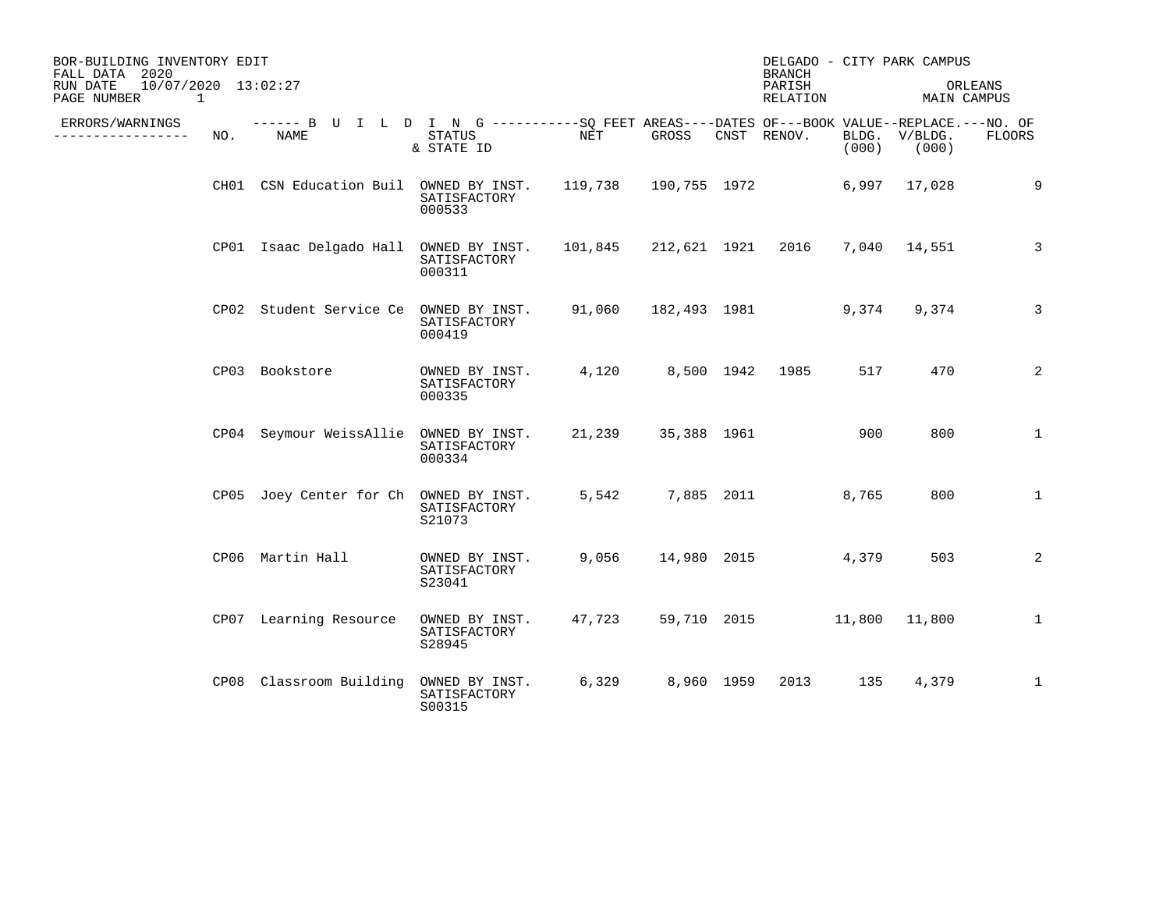| BOR-BUILDING INVENTORY EDIT<br>FALL DATA 2020       |     |                                                                                                    |                                          |                              |                       |  |                                     |       | DELGADO - CITY PARK CAMPUS |              |  |  |
|-----------------------------------------------------|-----|----------------------------------------------------------------------------------------------------|------------------------------------------|------------------------------|-----------------------|--|-------------------------------------|-------|----------------------------|--------------|--|--|
| 10/07/2020 13:02:27<br>RUN DATE<br>PAGE NUMBER<br>1 |     |                                                                                                    |                                          |                              |                       |  | <b>BRANCH</b><br>PARISH<br>RELATION |       | MAIN CAMPUS                | ORLEANS      |  |  |
| ERRORS/WARNINGS<br>---------------                  | NO. | ------ B U I L D I N G ----------SO FEET AREAS----DATES OF---BOOK VALUE--REPLACE.---NO. OF<br>NAME | STATUS<br>& STATE ID                     | NET                          | GROSS                 |  | CNST RENOV.                         | (000) | BLDG. V/BLDG.<br>(000)     | FLOORS       |  |  |
|                                                     |     | CH01 CSN Education Buil OWNED BY INST.                                                             | SATISFACTORY<br>000533                   | 119,738 190,755 1972         |                       |  |                                     |       | 6,997 17,028               | 9            |  |  |
|                                                     |     | CP01 Isaac Delgado Hall                                                                            | OWNED BY INST.<br>SATISFACTORY<br>000311 | 101,845 212,621 1921 2016    |                       |  |                                     |       | 7,040 14,551               | 3            |  |  |
|                                                     |     | CP02 Student Service Ce OWNED BY INST.                                                             | SATISFACTORY<br>000419                   | 91,060  182,493  1981  9,374 |                       |  |                                     |       | 9,374                      | 3            |  |  |
|                                                     |     | CP03 Bookstore                                                                                     | OWNED BY INST.<br>SATISFACTORY<br>000335 |                              | 4,120 8,500 1942 1985 |  |                                     | 517   | 470                        | 2            |  |  |
|                                                     |     | CP04 Seymour WeissAllie OWNED BY INST.                                                             | SATISFACTORY<br>000334                   | 21,239                       | 35,388 1961           |  |                                     | 900   | 800                        | $\mathbf{1}$ |  |  |
|                                                     |     | CP05 Joey Center for Ch OWNED BY INST.                                                             | SATISFACTORY<br>S21073                   | 5,542                        |                       |  | 7,885 2011                          | 8,765 | 800                        | 1            |  |  |
|                                                     |     | CP06 Martin Hall                                                                                   | OWNED BY INST.<br>SATISFACTORY<br>S23041 | 9,056                        |                       |  | 14,980 2015                         | 4,379 | 503                        | 2            |  |  |
|                                                     |     | CP07 Learning Resource                                                                             | OWNED BY INST.<br>SATISFACTORY<br>S28945 | 47,723                       |                       |  | 59,710 2015 11,800 11,800           |       |                            | $\mathbf{1}$ |  |  |
|                                                     |     | CP08 Classroom Building                                                                            | OWNED BY INST.<br>SATISFACTORY<br>S00315 | 6,329                        | 8,960 1959            |  | 2013                                | 135   | 4,379                      | $\mathbf{1}$ |  |  |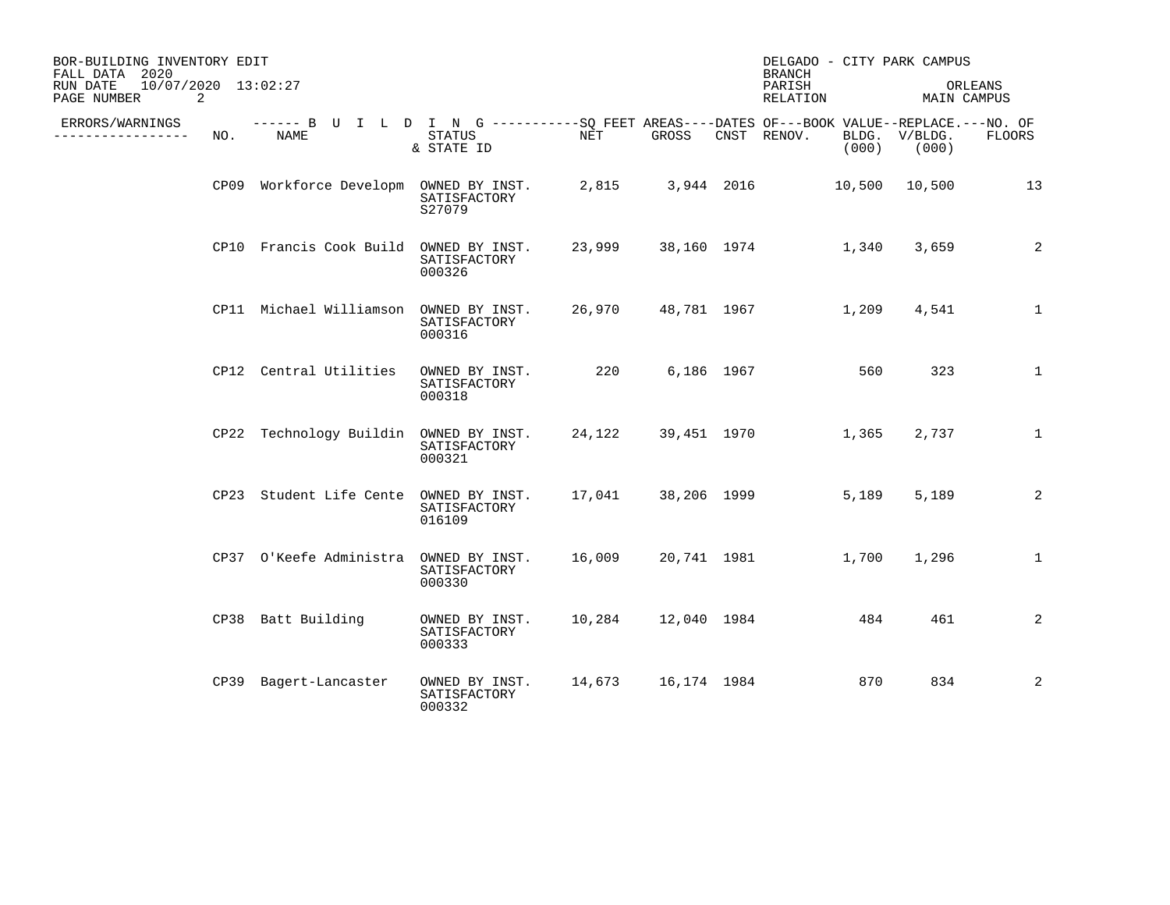| BOR-BUILDING INVENTORY EDIT<br>FALL DATA 2020       |      |                                                                                                    |                                          |        |             |  | DELGADO - CITY PARK CAMPUS<br><b>BRANCH</b> |                        |                        |
|-----------------------------------------------------|------|----------------------------------------------------------------------------------------------------|------------------------------------------|--------|-------------|--|---------------------------------------------|------------------------|------------------------|
| 10/07/2020 13:02:27<br>RUN DATE<br>PAGE NUMBER<br>2 |      |                                                                                                    |                                          |        |             |  | PARISH<br>RELATION                          |                        | ORLEANS<br>MAIN CAMPUS |
| ERRORS/WARNINGS<br>. <u>.</u>                       | NO.  | ------ B U I L D I N G ----------SQ FEET AREAS----DATES OF---BOOK VALUE--REPLACE.---NO. OF<br>NAME | STATUS<br>& STATE ID                     | NET    | GROSS       |  | CNST RENOV.<br>(000)                        | BLDG. V/BLDG.<br>(000) | FLOORS                 |
|                                                     |      | CP09 Workforce Developm OWNED BY INST.                                                             | SATISFACTORY<br>S27079                   |        |             |  | 2,815 3,944 2016 10,500 10,500              |                        | 13                     |
|                                                     |      | CP10 Francis Cook Build OWNED BY INST.                                                             | SATISFACTORY<br>000326                   | 23,999 |             |  | 38,160 1974 1,340                           | 3,659                  | 2                      |
|                                                     |      | CP11 Michael Williamson OWNED BY INST.                                                             | SATISFACTORY<br>000316                   |        |             |  |                                             | 4,541                  | $\mathbf{1}$           |
|                                                     |      | CP12 Central Utilities                                                                             | OWNED BY INST.<br>SATISFACTORY<br>000318 | 220    | 6,186 1967  |  | 560                                         | 323                    | $\mathbf{1}$           |
|                                                     |      | CP22 Technology Buildin OWNED BY INST.                                                             | SATISFACTORY<br>000321                   |        |             |  | 24,122 39,451 1970 1,365                    | 2,737                  | $\mathbf{1}$           |
|                                                     |      | CP23 Student Life Cente OWNED BY INST.                                                             | SATISFACTORY<br>016109                   | 17,041 |             |  | 38,206 1999 2001<br>5,189                   | 5,189                  | 2                      |
|                                                     |      | CP37 O'Keefe Administra                                                                            | OWNED BY INST.<br>SATISFACTORY<br>000330 | 16,009 |             |  | 20,741 1981<br>1,700                        | 1,296                  | $\mathbf{1}$           |
|                                                     |      | CP38 Batt Building                                                                                 | OWNED BY INST.<br>SATISFACTORY<br>000333 | 10,284 | 12,040 1984 |  | 484                                         | 461                    | 2                      |
|                                                     | CP39 | Bagert-Lancaster                                                                                   | OWNED BY INST.<br>SATISFACTORY<br>000332 | 14,673 |             |  | 870                                         | 834                    | 2                      |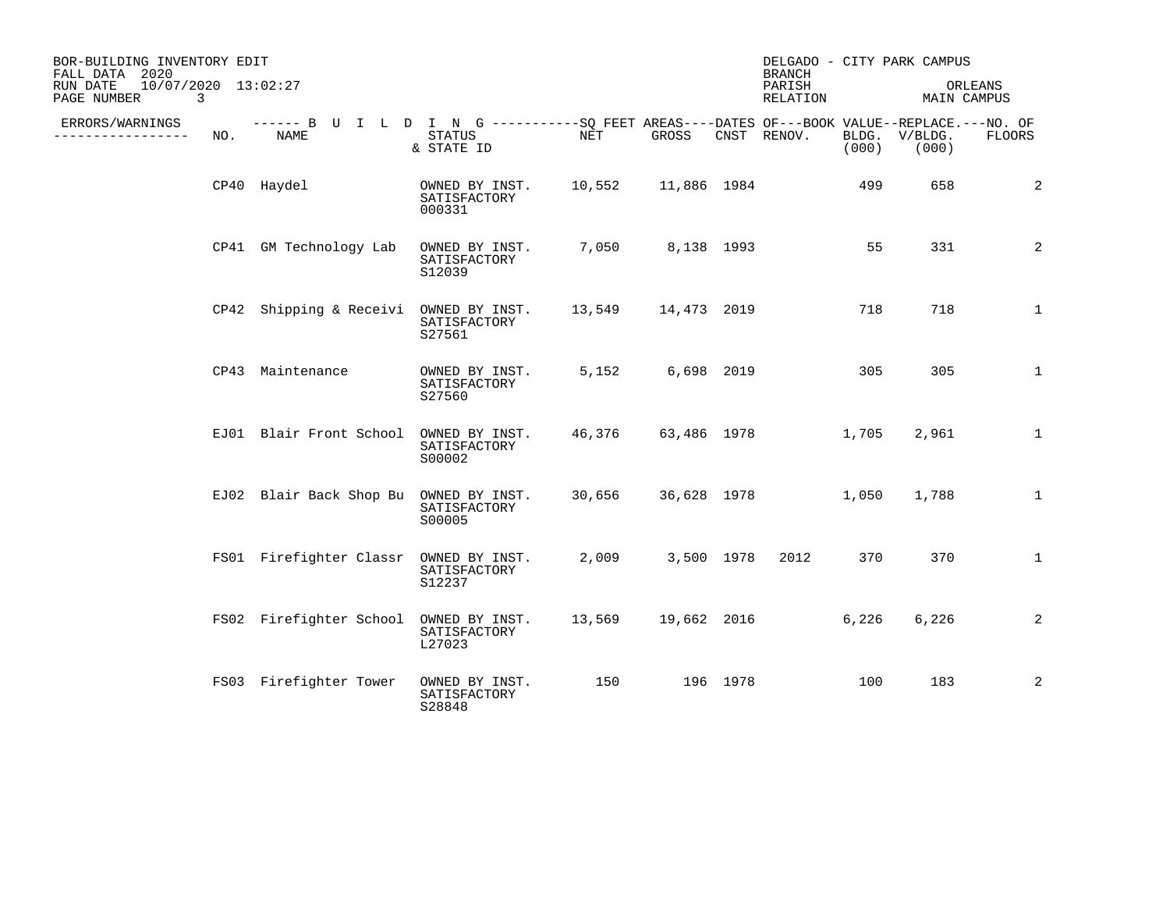| BOR-BUILDING INVENTORY EDIT<br>FALL DATA 2020  |     |                                                                                                     |                                          |                          |                  |  | <b>BRANCH</b>             |       | DELGADO - CITY PARK CAMPUS |              |
|------------------------------------------------|-----|-----------------------------------------------------------------------------------------------------|------------------------------------------|--------------------------|------------------|--|---------------------------|-------|----------------------------|--------------|
| 10/07/2020 13:02:27<br>RUN DATE<br>PAGE NUMBER | 3   |                                                                                                     |                                          |                          |                  |  | PARISH<br>RELATION        |       | MAIN CAMPUS                | ORLEANS      |
| ERRORS/WARNINGS<br>--------------              | NO. | ------ B U I L D I N G -----------SO FEET AREAS----DATES OF---BOOK VALUE--REPLACE.---NO. OF<br>NAME | STATUS<br>& STATE ID                     | NET                      | GROSS            |  | CNST RENOV.               | (000) | BLDG. V/BLDG.<br>(000)     | FLOORS       |
|                                                |     | CP40 Haydel                                                                                         | OWNED BY INST.<br>SATISFACTORY<br>000331 | 10,552    11,886    1984 |                  |  |                           | 499   | 658                        | 2            |
|                                                |     | CP41 GM Technology Lab                                                                              | OWNED BY INST.<br>SATISFACTORY<br>S12039 | 7,050                    | 8,138 1993       |  |                           | 55    | 331                        | 2            |
|                                                |     | CP42 Shipping & Receivi OWNED BY INST.                                                              | SATISFACTORY<br>S27561                   | 13,549 14,473 2019       |                  |  |                           | 718   | 718                        | $\mathbf{1}$ |
|                                                |     | CP43 Maintenance                                                                                    | OWNED BY INST.<br>SATISFACTORY<br>S27560 |                          | 5,152 6,698 2019 |  |                           | 305   | 305                        | 1            |
|                                                |     | EJ01 Blair Front School OWNED BY INST.                                                              | SATISFACTORY<br>S00002                   |                          |                  |  | 46,376 63,486 1978        | 1,705 | 2,961                      | $\mathbf{1}$ |
|                                                |     | EJ02 Blair Back Shop Bu OWNED BY INST.                                                              | SATISFACTORY<br>S00005                   | 30,656                   |                  |  | 36,628 1978               | 1,050 | 1,788                      | 1            |
|                                                |     | FS01 Firefighter Classr OWNED BY INST.                                                              | SATISFACTORY<br>S12237                   |                          |                  |  | 2,009 3,500 1978 2012 370 |       | 370                        | $\mathbf{1}$ |
|                                                |     | FS02 Firefighter School OWNED BY INST.                                                              | SATISFACTORY<br>L27023                   | 13,569                   |                  |  | 19,662 2016               | 6,226 | 6,226                      | 2            |
|                                                |     | FS03 Firefighter Tower                                                                              | OWNED BY INST.<br>SATISFACTORY<br>S28848 | 150                      | 196 1978         |  |                           | 100   | 183                        | 2            |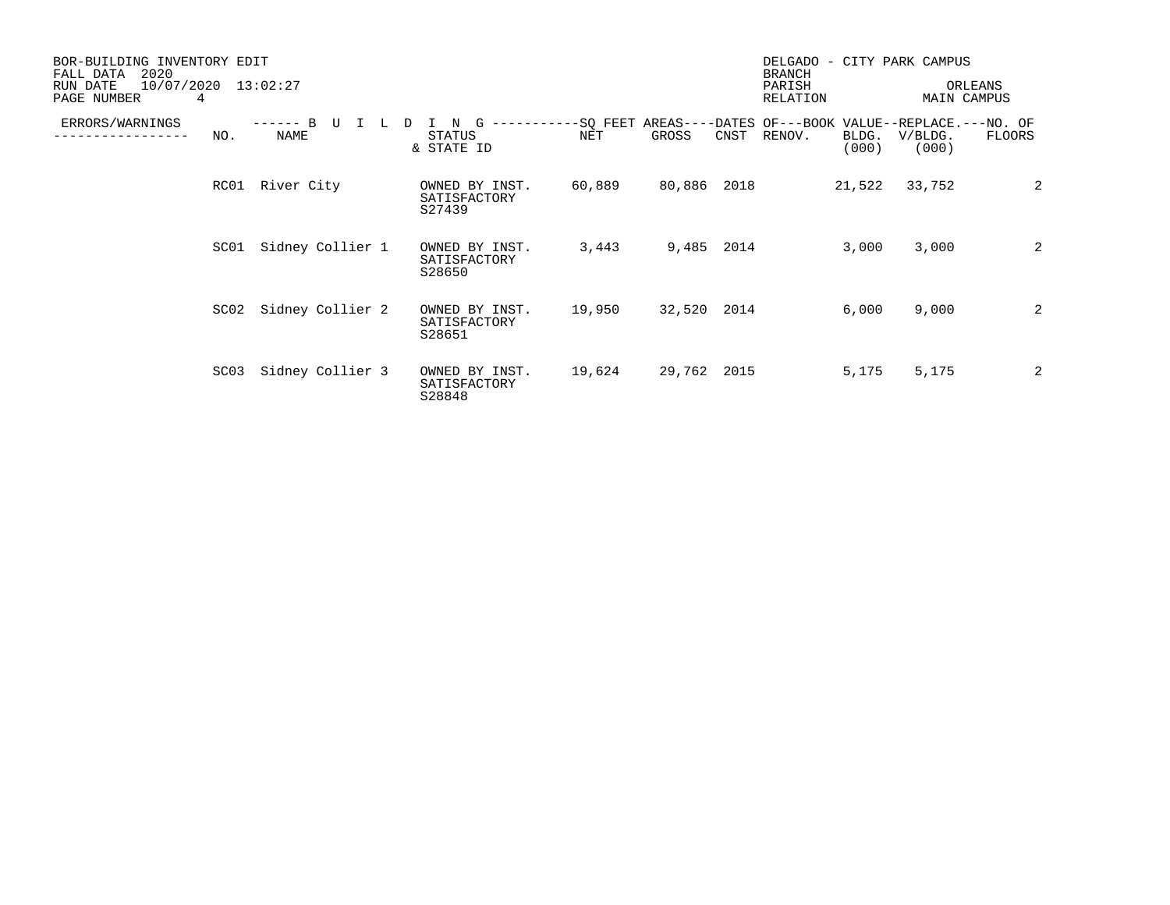| BOR-BUILDING INVENTORY EDIT<br>2020<br>FALL DATA<br>10/07/2020<br>RUN DATE<br>PAGE NUMBER<br>4 |                  | 13:02:27                                 |   |                                          | DELGADO<br>CITY PARK CAMPUS<br>$\overline{\phantom{m}}$<br><b>BRANCH</b><br>PARISH<br>ORLEANS<br>RELATION<br>MAIN CAMPUS |             |      |                                                                      |                |                  |        |   |
|------------------------------------------------------------------------------------------------|------------------|------------------------------------------|---|------------------------------------------|--------------------------------------------------------------------------------------------------------------------------|-------------|------|----------------------------------------------------------------------|----------------|------------------|--------|---|
| ERRORS/WARNINGS                                                                                | NO.              | <b>B</b><br>L<br>$- - - - - - -$<br>NAME | D | N<br>STATUS<br>& STATE ID                | NET                                                                                                                      | GROSS       | CNST | -SQ FEET AREAS----DATES OF---BOOK VALUE--REPLACE.---NO. OF<br>RENOV. | BLDG.<br>(000) | V/BLDG.<br>(000) | FLOORS |   |
|                                                                                                | RC01             | River City                               |   | OWNED BY INST.<br>SATISFACTORY<br>S27439 | 60,889                                                                                                                   | 80,886      | 2018 |                                                                      | 21,522         | 33,752           |        | 2 |
|                                                                                                | SC01             | Sidney Collier 1                         |   | OWNED BY INST.<br>SATISFACTORY<br>S28650 | 3,443                                                                                                                    | 9,485 2014  |      |                                                                      | 3,000          | 3,000            |        | 2 |
|                                                                                                | SC02             | Sidney Collier 2                         |   | OWNED BY INST.<br>SATISFACTORY<br>S28651 | 19,950                                                                                                                   | 32,520 2014 |      |                                                                      | 6,000          | 9,000            |        | 2 |
|                                                                                                | SC <sub>03</sub> | Sidney Collier 3                         |   | OWNED BY INST.<br>SATISFACTORY<br>S28848 | 19,624                                                                                                                   | 29,762 2015 |      |                                                                      | 5,175          | 5,175            |        | 2 |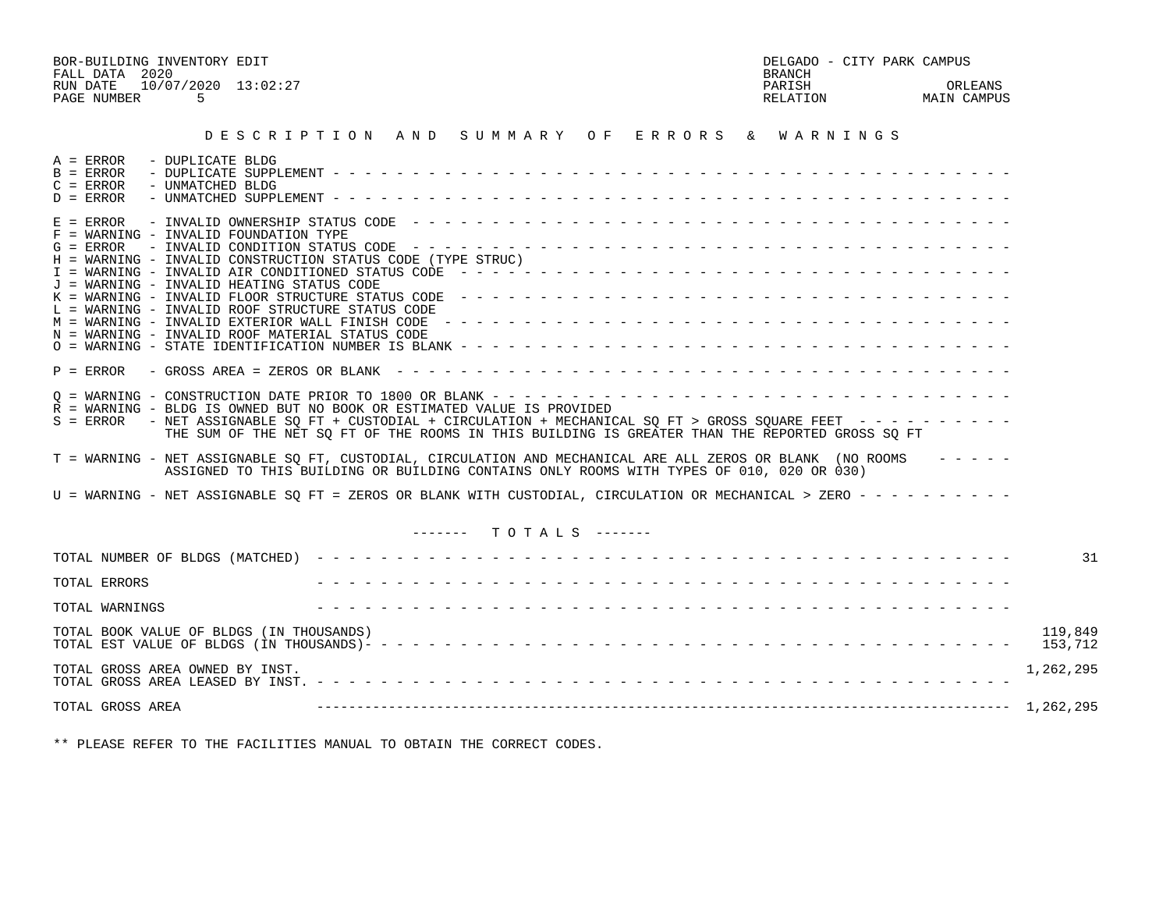| BOR-BUILDING INVENTORY EDIT                                                                                                                                                                                                                                                                             |                  | DELGADO - CITY PARK CAMPUS      |                    |
|---------------------------------------------------------------------------------------------------------------------------------------------------------------------------------------------------------------------------------------------------------------------------------------------------------|------------------|---------------------------------|--------------------|
| FALL DATA 2020<br>10/07/2020 13:02:27<br>RUN DATE<br>PAGE NUMBER<br>5                                                                                                                                                                                                                                   | BRANCH<br>PARISH | ORLEANS<br>RELATION MAIN CAMPUS |                    |
| DESCRIPTION AND SUMMARY OF ERRORS & WARNINGS                                                                                                                                                                                                                                                            |                  |                                 |                    |
| $A = ERROR$<br>- DUPLICATE BLDG<br>$B = ERROR$<br>$C = ERROR$<br>- UNMATCHED BLDG<br>$D = ERROR$                                                                                                                                                                                                        |                  |                                 |                    |
| $E = ERROR$<br>F = WARNING - INVALID FOUNDATION TYPE<br>H = WARNING - INVALID CONSTRUCTION STATUS CODE (TYPE STRUC)<br>J = WARNING - INVALID HEATING STATUS CODE<br>L = WARNING - INVALID ROOF STRUCTURE STATUS CODE<br>N = WARNING - INVALID ROOF MATERIAL STATUS CODE                                 |                  |                                 |                    |
|                                                                                                                                                                                                                                                                                                         |                  |                                 |                    |
| R = WARNING - BLDG IS OWNED BUT NO BOOK OR ESTIMATED VALUE IS PROVIDED<br>- NET ASSIGNABLE SQ FT + CUSTODIAL + CIRCULATION + MECHANICAL SQ FT > GROSS SQUARE FEET - - - - - - - - - -<br>$S = ERROR$<br>THE SUM OF THE NET SQ FT OF THE ROOMS IN THIS BUILDING IS GREATER THAN THE REPORTED GROSS SQ FT |                  |                                 |                    |
| T = WARNING - NET ASSIGNABLE SQ FT, CUSTODIAL, CIRCULATION AND MECHANICAL ARE ALL ZEROS OR BLANK (NO ROOMS - - - - -<br>ASSIGNED TO THIS BUILDING OR BUILDING CONTAINS ONLY ROOMS WITH TYPES OF 010, 020 OR 030)                                                                                        |                  |                                 |                    |
| U = WARNING - NET ASSIGNABLE SQ FT = ZEROS OR BLANK WITH CUSTODIAL, CIRCULATION OR MECHANICAL > ZERO - - - - - - - - - -                                                                                                                                                                                |                  |                                 |                    |
| ------- TOTALS -------                                                                                                                                                                                                                                                                                  |                  |                                 |                    |
|                                                                                                                                                                                                                                                                                                         |                  |                                 | 31                 |
| TOTAL ERRORS                                                                                                                                                                                                                                                                                            |                  |                                 |                    |
| TOTAL WARNINGS                                                                                                                                                                                                                                                                                          |                  |                                 |                    |
| TOTAL BOOK VALUE OF BLDGS (IN THOUSANDS)                                                                                                                                                                                                                                                                |                  |                                 | 119,849<br>153,712 |
| TOTAL GROSS AREA OWNED BY INST.                                                                                                                                                                                                                                                                         |                  |                                 | 1,262,295          |
| TOTAL GROSS AREA                                                                                                                                                                                                                                                                                        |                  |                                 |                    |

\*\* PLEASE REFER TO THE FACILITIES MANUAL TO OBTAIN THE CORRECT CODES.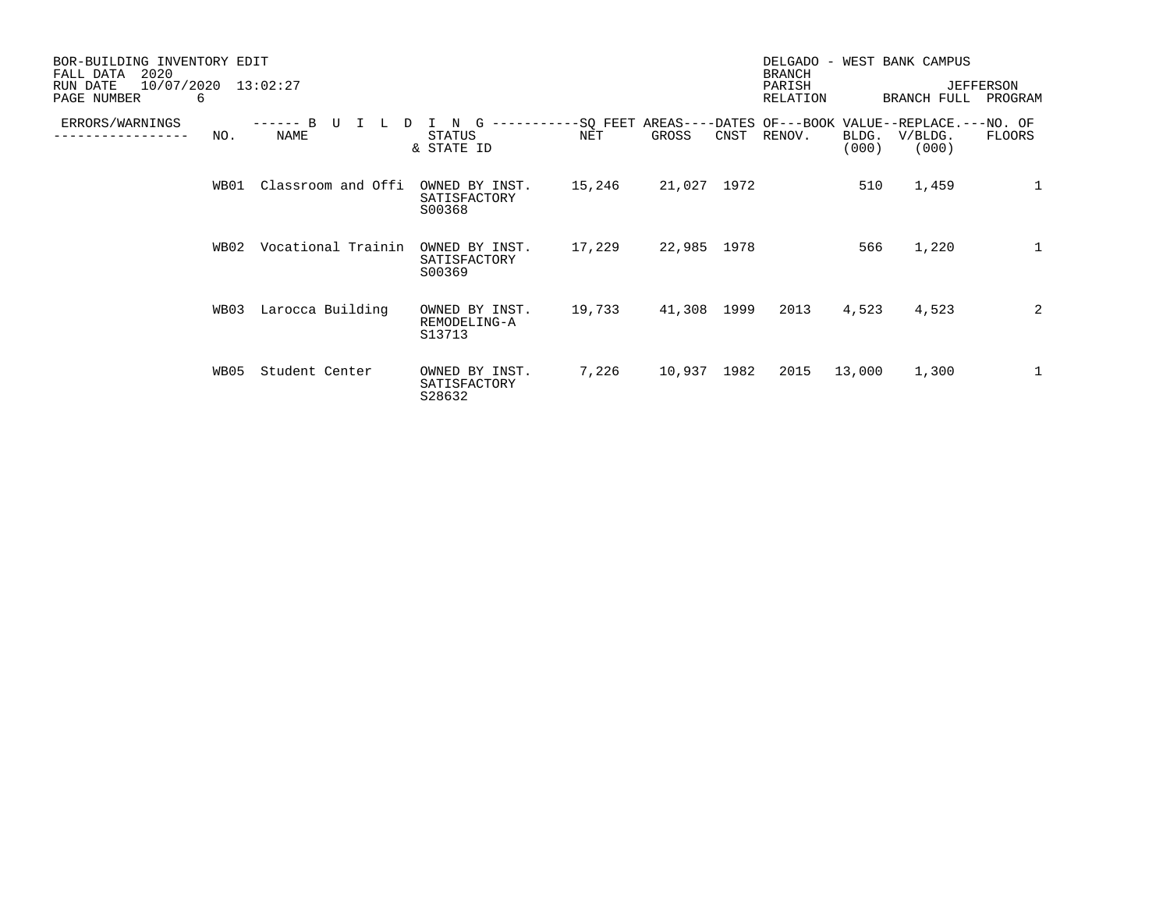| BOR-BUILDING INVENTORY EDIT<br>2020<br>FALL DATA<br>10/07/2020<br>RUN DATE<br>6<br>PAGE NUMBER |      | 13:02:27                      |                                                          |        |             |      | DELGADO<br>$\overline{\phantom{a}}$<br><b>BRANCH</b><br>PARISH<br>RELATION |                | WEST BANK CAMPUS<br>BRANCH FULL                                       | <b>JEFFERSON</b><br>PROGRAM |
|------------------------------------------------------------------------------------------------|------|-------------------------------|----------------------------------------------------------|--------|-------------|------|----------------------------------------------------------------------------|----------------|-----------------------------------------------------------------------|-----------------------------|
| ERRORS/WARNINGS                                                                                | NO.  | B<br>L<br>D<br>------<br>NAME | -----------SQ FEET<br>NG.<br><b>STATUS</b><br>& STATE ID | NET    | GROSS       | CNST | RENOV.                                                                     | BLDG.<br>(000) | AREAS----DATES OF---BOOK VALUE--REPLACE.---NO. OF<br>V/BLDG.<br>(000) | FLOORS                      |
|                                                                                                | WB01 | Classroom and Offi            | OWNED BY INST.<br>SATISFACTORY<br>S00368                 | 15,246 | 21,027 1972 |      |                                                                            | 510            | 1,459                                                                 | 1                           |
|                                                                                                | WB02 | Vocational Trainin            | OWNED BY INST.<br>SATISFACTORY<br>S00369                 | 17,229 | 22,985 1978 |      |                                                                            | 566            | 1,220                                                                 | $\mathbf{1}$                |
|                                                                                                | WB03 | Larocca Building              | OWNED BY INST.<br>REMODELING-A<br>S13713                 | 19,733 | 41,308 1999 |      | 2013                                                                       | 4,523          | 4,523                                                                 | 2                           |
|                                                                                                | WB05 | Student Center                | OWNED BY INST.<br>SATISFACTORY<br>S28632                 | 7,226  | 10,937 1982 |      | 2015                                                                       | 13,000         | 1,300                                                                 | 1                           |